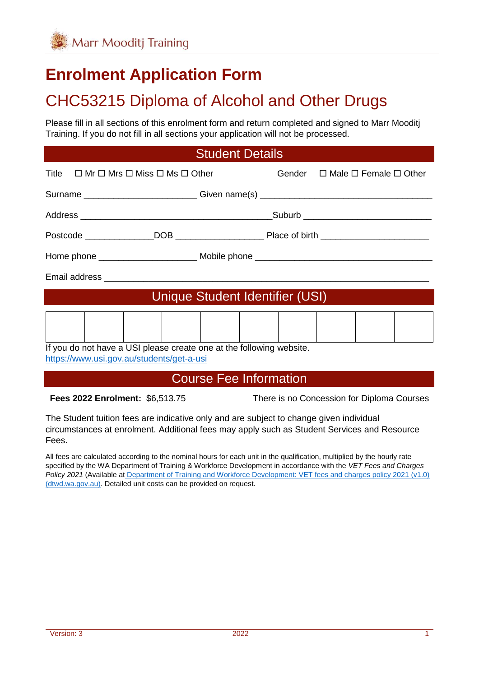# **Enrolment Application Form**

# CHC53215 Diploma of Alcohol and Other Drugs

Please fill in all sections of this enrolment form and return completed and signed to Marr Mooditj Training. If you do not fill in all sections your application will not be processed.

#### Student Details

| Title $\Box$ Mr $\Box$ Mrs $\Box$ Miss $\Box$ Ms $\Box$ Other                    |  |  | Gender $\Box$ Male $\Box$ Female $\Box$ Other |  |
|----------------------------------------------------------------------------------|--|--|-----------------------------------------------|--|
| Surname _____________________________Given name(s) _____________________________ |  |  |                                               |  |
|                                                                                  |  |  |                                               |  |
|                                                                                  |  |  |                                               |  |
|                                                                                  |  |  |                                               |  |
|                                                                                  |  |  |                                               |  |
| Unique Student Identifier (USI)                                                  |  |  |                                               |  |
|                                                                                  |  |  |                                               |  |
| If you do not have a USI please create one at the following website.             |  |  |                                               |  |

<https://www.usi.gov.au/students/get-a-usi>

#### Course Fee Information

**Fees 2022 Enrolment:** \$6,513.75 There is no Concession for Diploma Courses

The Student tuition fees are indicative only and are subject to change given individual circumstances at enrolment. Additional fees may apply such as Student Services and Resource Fees.

All fees are calculated according to the nominal hours for each unit in the qualification, multiplied by the hourly rate specified by the WA Department of Training & Workforce Development in accordance with the *VET Fees and Charges Policy 2021* (Available at Department of Training and Workforce Development: VET fees and charges policy 2021 (v1.0) [\(dtwd.wa.gov.au\).](https://www.dtwd.wa.gov.au/sites/default/files/uploads/dtwd-vet-fees-charges-policy-v1.0-jan2021.pdf) Detailed unit costs can be provided on request.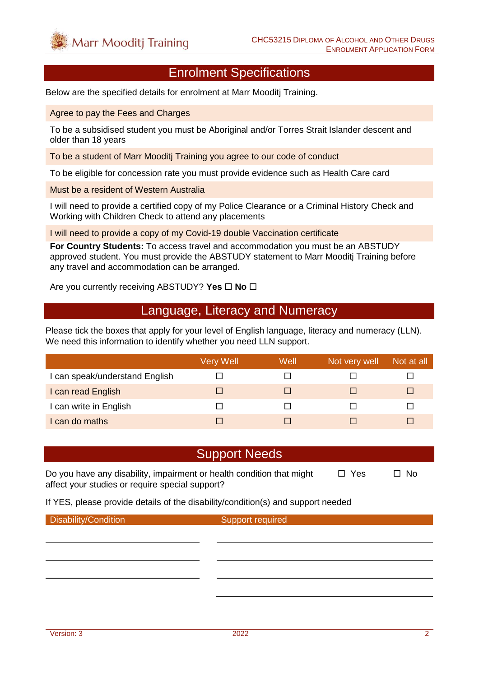#### Enrolment Specifications

Below are the specified details for enrolment at Marr Mooditj Training.

Agree to pay the Fees and Charges

To be a subsidised student you must be Aboriginal and/or Torres Strait Islander descent and older than 18 years

To be a student of Marr Mooditj Training you agree to our code of conduct

To be eligible for concession rate you must provide evidence such as Health Care card

Must be a resident of Western Australia

I will need to provide a certified copy of my Police Clearance or a Criminal History Check and Working with Children Check to attend any placements

I will need to provide a copy of my Covid-19 double Vaccination certificate

**For Country Students:** To access travel and accommodation you must be an ABSTUDY approved student. You must provide the ABSTUDY statement to Marr Mooditj Training before any travel and accommodation can be arranged.

Are you currently receiving ABSTUDY? Yes  $\Box$  No  $\Box$ 

#### Language, Literacy and Numeracy

Please tick the boxes that apply for your level of English language, literacy and numeracy (LLN). We need this information to identify whether you need LLN support.

|                                | <b>Very Well</b> | Well | Not very well | Not at all |
|--------------------------------|------------------|------|---------------|------------|
| I can speak/understand English |                  |      |               |            |
| I can read English             |                  |      |               |            |
| I can write in English         |                  |      |               |            |
| I can do maths                 |                  |      |               |            |

#### Support Needs

Do you have any disability, impairment or health condition that might  $\Box$  Yes  $\Box$  No affect your studies or require special support?

If YES, please provide details of the disability/condition(s) and support needed

**Disability/Condition** Support required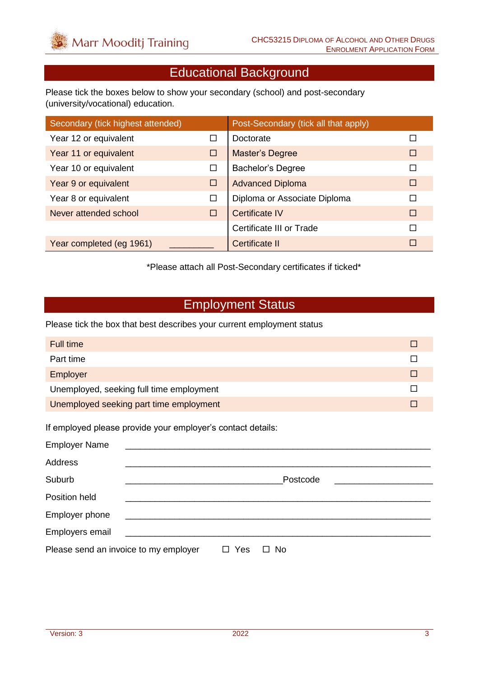#### Educational Background

Please tick the boxes below to show your secondary (school) and post-secondary (university/vocational) education.

| Secondary (tick highest attended) |   | Post-Secondary (tick all that apply) |   |
|-----------------------------------|---|--------------------------------------|---|
| Year 12 or equivalent             | □ | Doctorate                            |   |
| Year 11 or equivalent             | □ | Master's Degree                      | □ |
| Year 10 or equivalent             | □ | <b>Bachelor's Degree</b>             | г |
| Year 9 or equivalent              | □ | <b>Advanced Diploma</b>              | П |
| Year 8 or equivalent              | □ | Diploma or Associate Diploma         | П |
| Never attended school             | □ | <b>Certificate IV</b>                | П |
|                                   |   | Certificate III or Trade             | П |
| Year completed (eg 1961)          |   | <b>Certificate II</b>                | П |

\*Please attach all Post-Secondary certificates if ticked\*

#### Employment Status

Please tick the box that best describes your current employment status

| Full time                                |  |
|------------------------------------------|--|
| Part time                                |  |
| Employer                                 |  |
| Unemployed, seeking full time employment |  |
| Unemployed seeking part time employment  |  |

If employed please provide your employer's contact details:

| <b>Employer Name</b>                                                                                                                     |     |              |
|------------------------------------------------------------------------------------------------------------------------------------------|-----|--------------|
| <b>Address</b>                                                                                                                           |     |              |
| Suburb                                                                                                                                   |     | Postcode     |
| Position held                                                                                                                            |     |              |
| Employer phone                                                                                                                           |     |              |
| Employers email<br><u> 1980 - Jan Barbarat, politik eta politik eta politik eta politik eta politik eta politik eta politik eta poli</u> |     |              |
| Please send an invoice to my employer                                                                                                    | Yes | No<br>$\Box$ |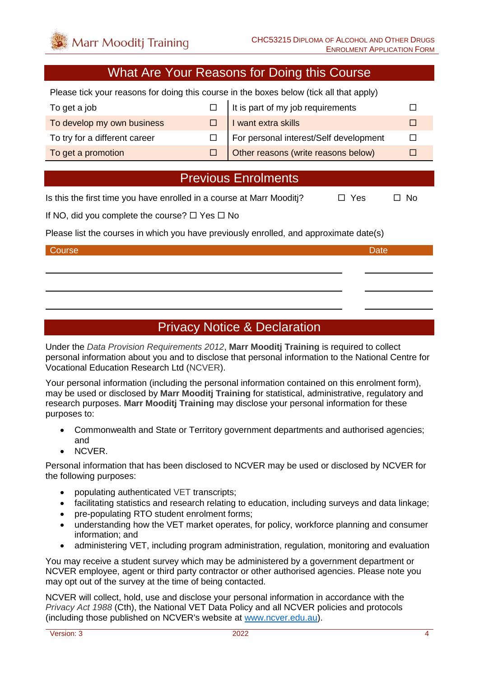#### What Are Your Reasons for Doing this Course

Please tick your reasons for doing this course in the boxes below (tick all that apply)

| To get a job                  | It is part of my job requirements      |  |
|-------------------------------|----------------------------------------|--|
| To develop my own business    | I want extra skills                    |  |
| To try for a different career | For personal interest/Self development |  |
| To get a promotion            | Other reasons (write reasons below)    |  |

#### Previous Enrolments

Is this the first time you have enrolled in a course at Marr Mooditi?  $\Box$  Yes  $\Box$  No

If NO, did you complete the course?  $\Box$  Yes  $\Box$  No

Please list the courses in which you have previously enrolled, and approximate date(s)

#### Course **Date** Date of the Course of the Course of the Course of the Course of the Date Date

#### Privacy Notice & Declaration

Under the *Data Provision Requirements 2012*, **Marr Mooditj Training** is required to collect personal information about you and to disclose that personal information to the National Centre for Vocational Education Research Ltd (NCVER).

Your personal information (including the personal information contained on this enrolment form), may be used or disclosed by **Marr Mooditj Training** for statistical, administrative, regulatory and research purposes. **Marr Mooditj Training** may disclose your personal information for these purposes to:

- Commonwealth and State or Territory government departments and authorised agencies; and
- NCVER.

Personal information that has been disclosed to NCVER may be used or disclosed by NCVER for the following purposes:

- populating authenticated VET transcripts;
- facilitating statistics and research relating to education, including surveys and data linkage;
- pre-populating RTO student enrolment forms:
- understanding how the VET market operates, for policy, workforce planning and consumer information; and
- administering VET, including program administration, regulation, monitoring and evaluation

You may receive a student survey which may be administered by a government department or NCVER employee, agent or third party contractor or other authorised agencies. Please note you may opt out of the survey at the time of being contacted.

NCVER will collect, hold, use and disclose your personal information in accordance with the *Privacy Act 1988* (Cth), the National VET Data Policy and all NCVER policies and protocols (including those published on NCVER's website at [www.ncver.edu.au\)](http://www.ncver.edu.au/).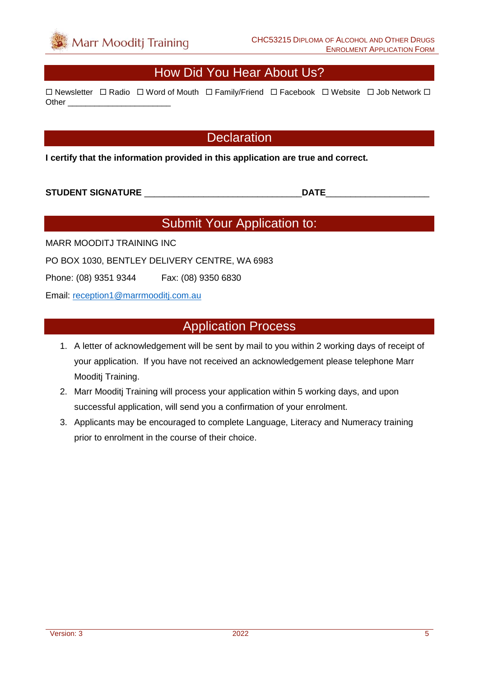#### How Did You Hear About Us?

 $\Box$  Newsletter  $\Box$  Radio  $\Box$  Word of Mouth  $\Box$  Family/Friend  $\Box$  Facebook  $\Box$  Website  $\Box$  Job Network  $\Box$ Other \_\_\_\_\_\_\_\_\_\_\_\_\_\_\_\_\_\_\_\_\_\_\_

#### **Declaration**

**I certify that the information provided in this application are true and correct.**

**STUDENT SIGNATURE** \_\_\_\_\_\_\_\_\_\_\_\_\_\_\_\_\_\_\_\_\_\_\_\_\_\_\_\_\_\_\_\_**DATE**\_\_\_\_\_\_\_\_\_\_\_\_\_\_\_\_\_\_\_\_\_

### Submit Your Application to:

MARR MOODITJ TRAINING INC

PO BOX 1030, BENTLEY DELIVERY CENTRE, WA 6983

Phone: (08) 9351 9344 Fax: (08) 9350 6830

Email: [reception1@marrmooditj.com.au](mailto:reception1@marrmooditj.com.au)

#### Application Process

- 1. A letter of acknowledgement will be sent by mail to you within 2 working days of receipt of your application. If you have not received an acknowledgement please telephone Marr Mooditj Training.
- 2. Marr Mooditj Training will process your application within 5 working days, and upon successful application, will send you a confirmation of your enrolment.
- 3. Applicants may be encouraged to complete Language, Literacy and Numeracy training prior to enrolment in the course of their choice.